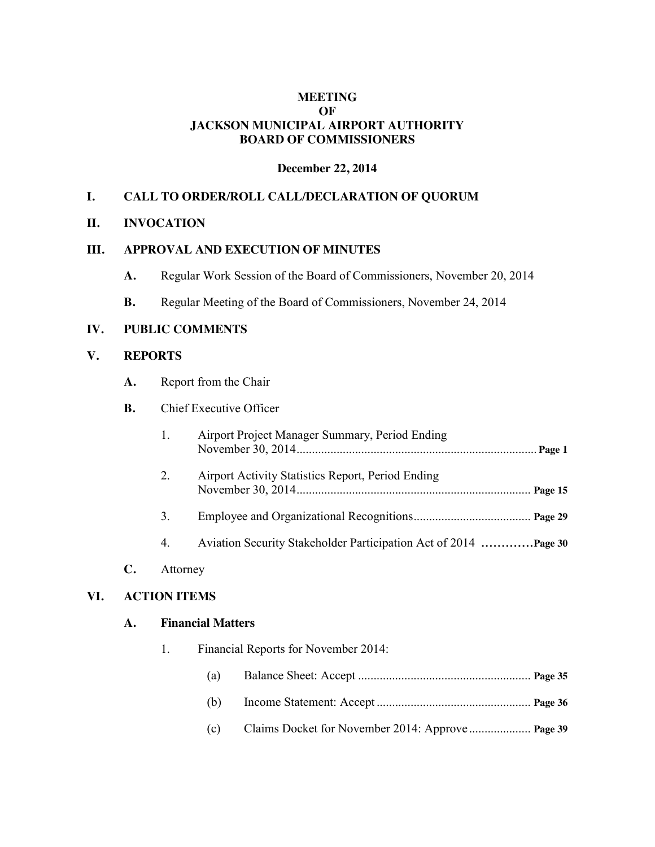### **MEETING OF JACKSON MUNICIPAL AIRPORT AUTHORITY BOARD OF COMMISSIONERS**

#### **December 22, 2014**

### **I. CALL TO ORDER/ROLL CALL/DECLARATION OF QUORUM**

#### **II. INVOCATION**

#### **III. APPROVAL AND EXECUTION OF MINUTES**

- **A.** Regular Work Session of the Board of Commissioners, November 20, 2014
- **B.** Regular Meeting of the Board of Commissioners, November 24, 2014

#### **IV. PUBLIC COMMENTS**

## **V. REPORTS**

**A.** Report from the Chair

## **B.** Chief Executive Officer

|          | Airport Project Manager Summary, Period Ending           |
|----------|----------------------------------------------------------|
| 2.       | <b>Airport Activity Statistics Report, Period Ending</b> |
| 3.       |                                                          |
| 4.       |                                                          |
| Attorney |                                                          |

### **VI. ACTION ITEMS**

**C.** 

### **A. Financial Matters**

| $\mathbf{1}$ . | Financial Reports for November 2014: |  |  |
|----------------|--------------------------------------|--|--|
|                | (a)                                  |  |  |
|                | (b)                                  |  |  |
|                | (c)                                  |  |  |